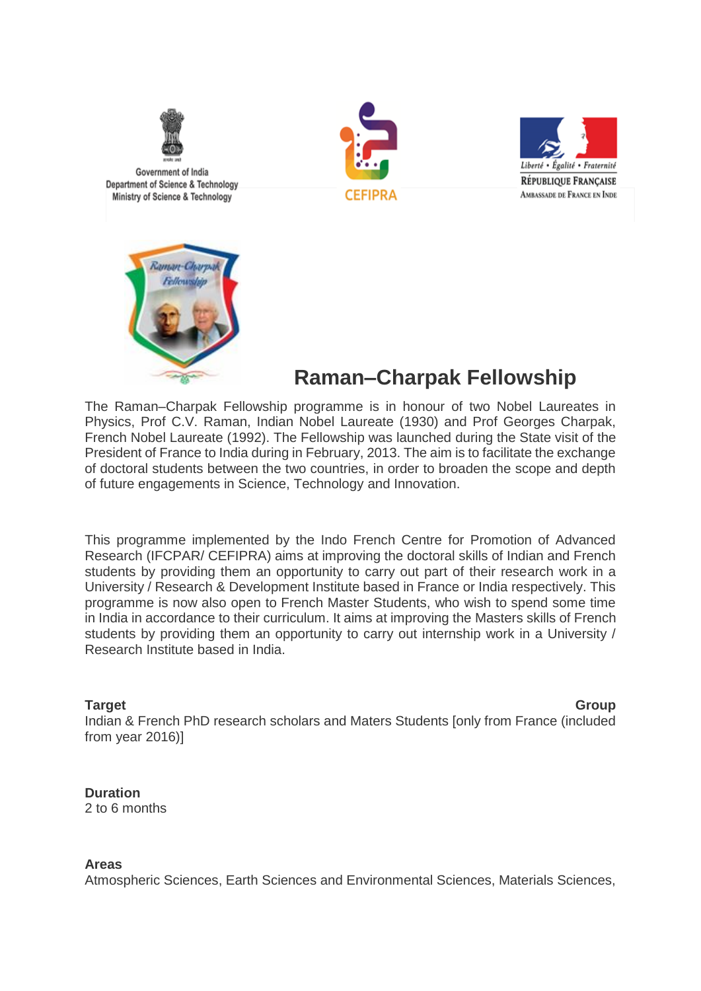

Government of India Department of Science & Technology Ministry of Science & Technology







# **Raman–Charpak Fellowship**

The Raman–Charpak Fellowship programme is in honour of two Nobel Laureates in Physics, Prof C.V. Raman, Indian Nobel Laureate (1930) and Prof Georges Charpak, French Nobel Laureate (1992). The Fellowship was launched during the State visit of the President of France to India during in February, 2013. The aim is to facilitate the exchange of doctoral students between the two countries, in order to broaden the scope and depth of future engagements in Science, Technology and Innovation.

This programme implemented by the Indo French Centre for Promotion of Advanced Research (IFCPAR/ CEFIPRA) aims at improving the doctoral skills of Indian and French students by providing them an opportunity to carry out part of their research work in a University / Research & Development Institute based in France or India respectively. This programme is now also open to French Master Students, who wish to spend some time in India in accordance to their curriculum. It aims at improving the Masters skills of French students by providing them an opportunity to carry out internship work in a University / Research Institute based in India.

**Target Group** Indian & French PhD research scholars and Maters Students [only from France (included from year 2016)]

**Duration**

2 to 6 months

# **Areas**

Atmospheric Sciences, Earth Sciences and Environmental Sciences, Materials Sciences,